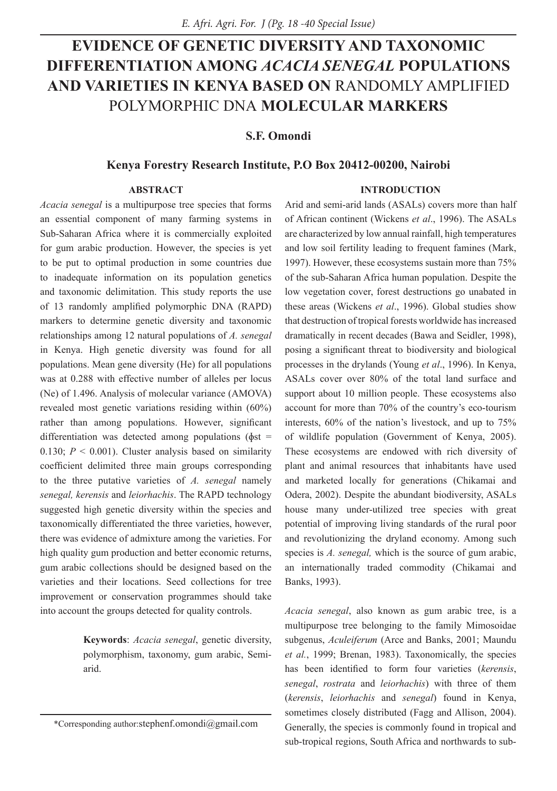# **EVIDENCE OF GENETIC DIVERSITY AND TAXONOMIC DIFFERENTIATION AMONG** *ACACIA SENEGAL* **POPULATIONS AND VARIETIES IN KENYA BASED ON** RANDOMLY AMPLIFIED POLYMORPHIC DNA **MOLECULAR MARKERS**

**S.F. Omondi**

# **Kenya Forestry Research Institute, P.O Box 20412-00200, Nairobi**

#### **ABSTRACT**

*Acacia senegal* is a multipurpose tree species that forms an essential component of many farming systems in Sub-Saharan Africa where it is commercially exploited for gum arabic production. However, the species is yet to be put to optimal production in some countries due to inadequate information on its population genetics and taxonomic delimitation. This study reports the use of 13 randomly amplified polymorphic DNA (RAPD) markers to determine genetic diversity and taxonomic relationships among 12 natural populations of *A. senegal* in Kenya. High genetic diversity was found for all populations. Mean gene diversity (He) for all populations was at 0.288 with effective number of alleles per locus (Ne) of 1.496. Analysis of molecular variance (AMOVA) revealed most genetic variations residing within (60%) rather than among populations. However, significant differentiation was detected among populations ( $\phi$ st = 0.130;  $P \le 0.001$ ). Cluster analysis based on similarity coefficient delimited three main groups corresponding to the three putative varieties of *A. senegal* namely *senegal, kerensis* and *leiorhachis*. The RAPD technology suggested high genetic diversity within the species and taxonomically differentiated the three varieties, however, there was evidence of admixture among the varieties. For high quality gum production and better economic returns, gum arabic collections should be designed based on the varieties and their locations. Seed collections for tree improvement or conservation programmes should take into account the groups detected for quality controls.

> **Keywords**: *Acacia senegal*, genetic diversity, polymorphism, taxonomy, gum arabic, Semiarid.

#### **INTRODUCTION**

Arid and semi-arid lands (ASALs) covers more than half of African continent (Wickens *et al*., 1996). The ASALs are characterized by low annual rainfall, high temperatures and low soil fertility leading to frequent famines (Mark, 1997). However, these ecosystems sustain more than 75% of the sub-Saharan Africa human population. Despite the low vegetation cover, forest destructions go unabated in these areas (Wickens *et al*., 1996). Global studies show that destruction of tropical forests worldwide has increased dramatically in recent decades (Bawa and Seidler, 1998), posing a significant threat to biodiversity and biological processes in the drylands (Young *et al*., 1996). In Kenya, ASALs cover over 80% of the total land surface and support about 10 million people. These ecosystems also account for more than 70% of the country's eco-tourism interests, 60% of the nation's livestock, and up to 75% of wildlife population (Government of Kenya, 2005). These ecosystems are endowed with rich diversity of plant and animal resources that inhabitants have used and marketed locally for generations (Chikamai and Odera, 2002). Despite the abundant biodiversity, ASALs house many under-utilized tree species with great potential of improving living standards of the rural poor and revolutionizing the dryland economy. Among such species is *A. senegal,* which is the source of gum arabic, an internationally traded commodity (Chikamai and Banks, 1993).

*Acacia senegal*, also known as gum arabic tree, is a multipurpose tree belonging to the family Mimosoidae subgenus, *Aculeiferum* (Arce and Banks, 2001; Maundu *et al.*, 1999; Brenan, 1983). Taxonomically, the species has been identified to form four varieties (*kerensis*, *senegal*, *rostrata* and *leiorhachis*) with three of them (*kerensis*, *leiorhachis* and *senegal*) found in Kenya, sometimes closely distributed (Fagg and Allison, 2004). Generally, the species is commonly found in tropical and sub-tropical regions, South Africa and northwards to sub-

<sup>\*</sup>Corresponding author:stephenf.omondi@gmail.com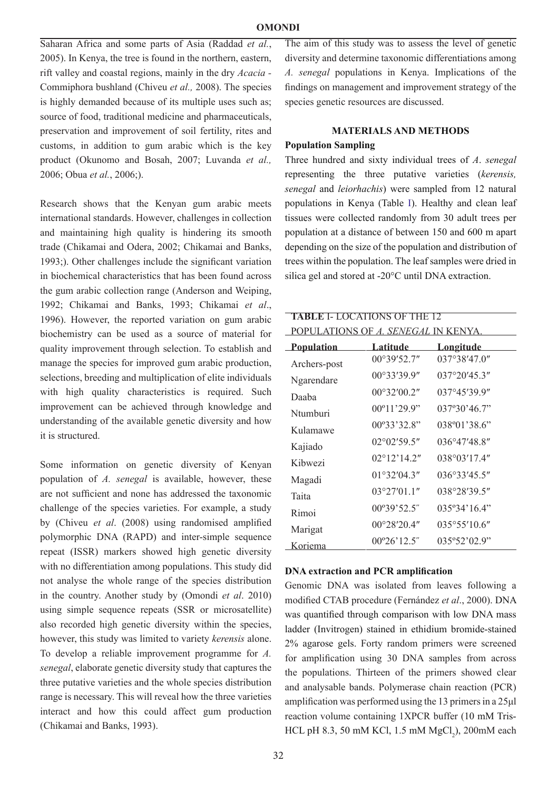Saharan Africa and some parts of Asia (Raddad *et al.*, 2005). In Kenya, the tree is found in the northern, eastern, rift valley and coastal regions, mainly in the dry *Acacia -*  Commiphora bushland (Chiveu *et al.,* 2008). The species is highly demanded because of its multiple uses such as; source of food, traditional medicine and pharmaceuticals, preservation and improvement of soil fertility, rites and customs, in addition to gum arabic which is the key product (Okunomo and Bosah, 2007; Luvanda *et al.,*  2006; Obua *et al.*, 2006;).

Research shows that the Kenyan gum arabic meets international standards. However, challenges in collection and maintaining high quality is hindering its smooth trade (Chikamai and Odera, 2002; Chikamai and Banks, 1993;). Other challenges include the significant variation in biochemical characteristics that has been found across the gum arabic collection range (Anderson and Weiping, 1992; Chikamai and Banks, 1993; Chikamai *et al*., 1996). However, the reported variation on gum arabic biochemistry can be used as a source of material for quality improvement through selection. To establish and manage the species for improved gum arabic production, selections, breeding and multiplication of elite individuals with high quality characteristics is required. Such improvement can be achieved through knowledge and understanding of the available genetic diversity and how it is structured.

Some information on genetic diversity of Kenyan population of *A. senegal* is available, however, these are not sufficient and none has addressed the taxonomic challenge of the species varieties. For example, a study by (Chiveu *et al*. (2008) using randomised amplified polymorphic DNA (RAPD) and inter-simple sequence repeat (ISSR) markers showed high genetic diversity with no differentiation among populations. This study did not analyse the whole range of the species distribution in the country. Another study by (Omondi *et al*. 2010) using simple sequence repeats (SSR or microsatellite) also recorded high genetic diversity within the species, however, this study was limited to variety *kerensis* alone. To develop a reliable improvement programme for *A. senegal*, elaborate genetic diversity study that captures the three putative varieties and the whole species distribution range is necessary. This will reveal how the three varieties interact and how this could affect gum production (Chikamai and Banks, 1993).

The aim of this study was to assess the level of genetic diversity and determine taxonomic differentiations among *A. senegal* populations in Kenya. Implications of the findings on management and improvement strategy of the species genetic resources are discussed.

# **MATERIALS AND METHODS**

#### **Population Sampling**

Three hundred and sixty individual trees of *A*. *senegal* representing the three putative varieties (*kerensis, senegal* and *leiorhachis*) were sampled from 12 natural populations in Kenya (Table I). Healthy and clean leaf tissues were collected randomly from 30 adult trees per population at a distance of between 150 and 600 m apart depending on the size of the population and distribution of trees within the population. The leaf samples were dried in silica gel and stored at -20°C until DNA extraction.

| <b>TABLE I- LOCATIONS OF THE 12</b><br>POPULATIONS OF <i>A. SENEGAL</i> IN KENYA |                       |                        |  |  |  |  |
|----------------------------------------------------------------------------------|-----------------------|------------------------|--|--|--|--|
| <u>Population</u>                                                                | Latitude              | <u>Longitude</u>       |  |  |  |  |
| Archers-post                                                                     | 00°39'52.7"           | 037°38'47.0"           |  |  |  |  |
| Ngarendare                                                                       | 00°33'39.9"           | $037^{\circ}20'45.3''$ |  |  |  |  |
| Daaba                                                                            | $00^{\circ}32'00.2"$  | 037°45'39.9"           |  |  |  |  |
| Ntumburi                                                                         | $00^{\circ}11'29.9"$  | 037°30'46.7"           |  |  |  |  |
| Kulamawe                                                                         | $00^{\circ}33'32.8"$  | $038^{\circ}01'38.6"$  |  |  |  |  |
| Kajiado                                                                          | 02°02'59.5"           | $036^{\circ}47'48.8''$ |  |  |  |  |
| Kihwezi                                                                          | $02^{\circ}12'14.2''$ | 038°03'17.4"           |  |  |  |  |
| Magadi                                                                           | $01^{\circ}32'04.3''$ | $036^{\circ}33'45.5''$ |  |  |  |  |
| Taita                                                                            | $03^{\circ}27'01.1''$ | 038°28'39.5"           |  |  |  |  |
| Rimoi                                                                            | $00^{\circ}39'52.5"$  | 035°34'16.4"           |  |  |  |  |
| Marigat                                                                          | $00^{\circ}28'20.4"$  | $035^{\circ}55'10.6''$ |  |  |  |  |
| Koriema                                                                          | $00^{\circ}26'12.5"$  | 035°52'02.9"           |  |  |  |  |

# **DNA extraction and PCR amplification**

Genomic DNA was isolated from leaves following a modified CTAB procedure (Fernández *et al*., 2000). DNA was quantified through comparison with low DNA mass ladder (Invitrogen) stained in ethidium bromide-stained 2% agarose gels. Forty random primers were screened for amplification using 30 DNA samples from across the populations. Thirteen of the primers showed clear and analysable bands. Polymerase chain reaction (PCR) amplification was performed using the 13 primers in a 25μl reaction volume containing 1XPCR buffer (10 mM Tris-HCL pH 8.3, 50 mM KCl, 1.5 mM  $MgCl<sub>2</sub>$ ), 200mM each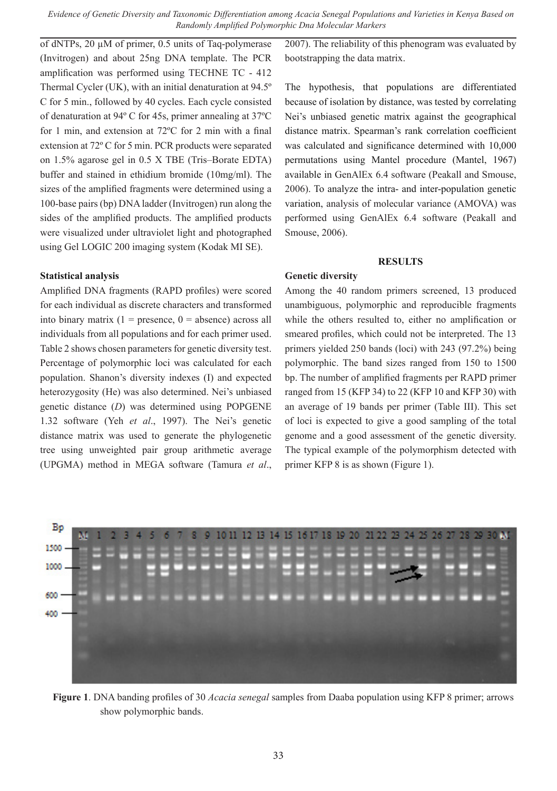of dNTPs, 20 µM of primer, 0.5 units of Taq-polymerase (Invitrogen) and about 25ng DNA template. The PCR amplification was performed using TECHNE TC - 412 Thermal Cycler (UK), with an initial denaturation at 94.5º C for 5 min., followed by 40 cycles. Each cycle consisted of denaturation at 94º C for 45s, primer annealing at 37ºC for 1 min, and extension at 72ºC for 2 min with a final extension at 72º C for 5 min. PCR products were separated on 1.5% agarose gel in 0.5 X TBE (Tris–Borate EDTA) buffer and stained in ethidium bromide (10mg/ml). The sizes of the amplified fragments were determined using a 100-base pairs (bp) DNA ladder (Invitrogen) run along the sides of the amplified products. The amplified products were visualized under ultraviolet light and photographed using Gel LOGIC 200 imaging system (Kodak MI SE).

#### **Statistical analysis**

Amplified DNA fragments (RAPD profiles) were scored for each individual as discrete characters and transformed into binary matrix  $(1 =$  presence,  $0 =$  absence) across all individuals from all populations and for each primer used. Table 2 shows chosen parameters for genetic diversity test. Percentage of polymorphic loci was calculated for each population. Shanon's diversity indexes (I) and expected heterozygosity (He) was also determined. Nei's unbiased genetic distance (*D*) was determined using POPGENE 1.32 software (Yeh *et al*., 1997). The Nei's genetic distance matrix was used to generate the phylogenetic tree using unweighted pair group arithmetic average (UPGMA) method in MEGA software (Tamura *et al*.,

2007). The reliability of this phenogram was evaluated by bootstrapping the data matrix.

The hypothesis, that populations are differentiated because of isolation by distance, was tested by correlating Nei's unbiased genetic matrix against the geographical distance matrix. Spearman's rank correlation coefficient was calculated and significance determined with 10,000 permutations using Mantel procedure (Mantel, 1967) available in GenAlEx 6.4 software (Peakall and Smouse, 2006). To analyze the intra- and inter-population genetic variation, analysis of molecular variance (AMOVA) was performed using GenAlEx 6.4 software (Peakall and Smouse, 2006).

#### **RESULTS**

# **Genetic diversity**

Among the 40 random primers screened, 13 produced unambiguous, polymorphic and reproducible fragments while the others resulted to, either no amplification or smeared profiles, which could not be interpreted. The 13 primers yielded 250 bands (loci) with 243 (97.2%) being polymorphic. The band sizes ranged from 150 to 1500 bp. The number of amplified fragments per RAPD primer ranged from 15 (KFP 34) to 22 (KFP 10 and KFP 30) with an average of 19 bands per primer (Table III). This set of loci is expected to give a good sampling of the total genome and a good assessment of the genetic diversity. The typical example of the polymorphism detected with primer KFP 8 is as shown (Figure 1).



**Figure 1**. DNA banding profiles of 30 *Acacia senegal* samples from Daaba population using KFP 8 primer; arrows show polymorphic bands.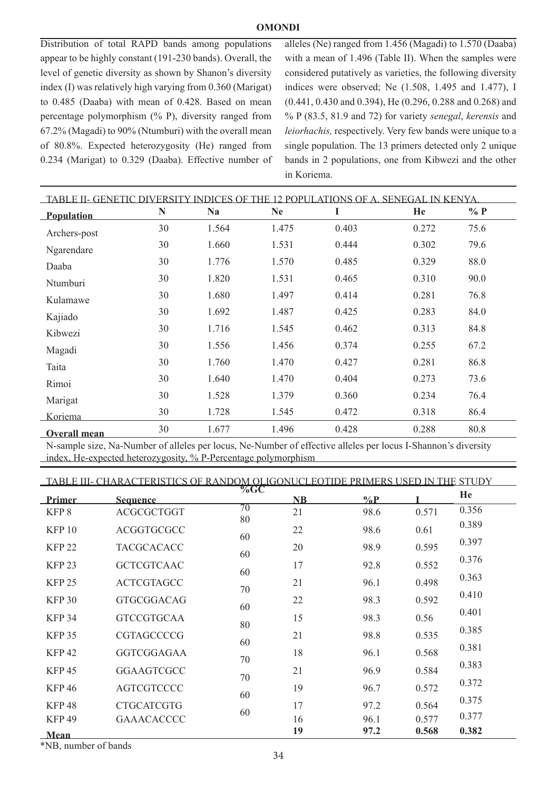## **OMONDI**

Distribution of total RAPD bands among populations appear to be highly constant (191-230 bands). Overall, the level of genetic diversity as shown by Shanon's diversity index (I) was relatively high varying from 0.360 (Marigat) to 0.485 (Daaba) with mean of 0.428. Based on mean percentage polymorphism (% P), diversity ranged from 67.2% (Magadi) to 90% (Ntumburi) with the overall mean of 80.8%. Expected heterozygosity (He) ranged from 0.234 (Marigat) to 0.329 (Daaba). Effective number of alleles (Ne) ranged from 1.456 (Magadi) to 1.570 (Daaba) with a mean of 1.496 (Table II). When the samples were considered putatively as varieties, the following diversity indices were observed; Ne (1.508, 1.495 and 1.477), I (0.441, 0.430 and 0.394), He (0.296, 0.288 and 0.268) and % P (83.5, 81.9 and 72) for variety *senegal*, *kerensis* and *leiorhachis,* respectively. Very few bands were unique to a single population. The 13 primers detected only 2 unique bands in 2 populations, one from Kibwezi and the other in Koriema.

| TABLE II- GENETIC DIVERSITY INDICES OF THE 12 POPULATIONS OF A. SENEGAL IN KENYA |    |           |           |       |       |        |
|----------------------------------------------------------------------------------|----|-----------|-----------|-------|-------|--------|
| <b>Population</b>                                                                | N  | <b>Na</b> | <b>Ne</b> | I     | He    | $\%$ P |
| Archers-post                                                                     | 30 | 1.564     | 1.475     | 0.403 | 0.272 | 75.6   |
| Ngarendare                                                                       | 30 | 1.660     | 1.531     | 0.444 | 0.302 | 79.6   |
| Daaba                                                                            | 30 | 1.776     | 1.570     | 0.485 | 0.329 | 88.0   |
| Ntumburi                                                                         | 30 | 1.820     | 1.531     | 0.465 | 0.310 | 90.0   |
| Kulamawe                                                                         | 30 | 1.680     | 1.497     | 0.414 | 0.281 | 76.8   |
| Kajiado                                                                          | 30 | 1.692     | 1.487     | 0.425 | 0.283 | 84.0   |
| Kibwezi                                                                          | 30 | 1.716     | 1.545     | 0.462 | 0.313 | 84.8   |
| Magadi                                                                           | 30 | 1.556     | 1.456     | 0.374 | 0.255 | 67.2   |
| Taita                                                                            | 30 | 1.760     | 1.470     | 0.427 | 0.281 | 86.8   |
| Rimoi                                                                            | 30 | 1.640     | 1.470     | 0.404 | 0.273 | 73.6   |
| Marigat                                                                          | 30 | 1.528     | 1.379     | 0.360 | 0.234 | 76.4   |
| Koriema                                                                          | 30 | 1.728     | 1.545     | 0.472 | 0.318 | 86.4   |
| <b>Overall mean</b>                                                              | 30 | 1.677     | 1.496     | 0.428 | 0.288 | 80.8   |

N-sample size, Na-Number of alleles per locus, Ne-Number of effective alleles per locus I-Shannon's diversity index, He-expected heterozygosity, % P-Percentage polymorphism

| TABLE III- CHARACTERISTICS OF RANDOM OLIGONUCLEOTIDE PRIMERS USED IN THE STUDY |                   |          |    |       |       |       |
|--------------------------------------------------------------------------------|-------------------|----------|----|-------|-------|-------|
| Primer                                                                         | <b>Sequence</b>   |          | NB | $\%P$ |       | He    |
| KFP 8                                                                          | ACGCGCTGGT        | 70<br>80 | 21 | 98.6  | 0.571 | 0.356 |
| <b>KFP 10</b>                                                                  | ACGGTGCGCC        |          | 22 | 98.6  | 0.61  | 0.389 |
| <b>KFP 22</b>                                                                  | <b>TACGCACACC</b> | 60       | 20 | 98.9  | 0.595 | 0.397 |
| <b>KFP 23</b>                                                                  | <b>GCTCGTCAAC</b> | 60       | 17 | 92.8  | 0.552 | 0.376 |
| <b>KFP 25</b>                                                                  | <b>ACTCGTAGCC</b> | 60       | 21 | 96.1  | 0.498 | 0.363 |
| <b>KFP 30</b>                                                                  | <b>GTGCGGACAG</b> | 70       | 22 | 98.3  | 0.592 | 0.410 |
| <b>KFP 34</b>                                                                  | <b>GTCCGTGCAA</b> | 60       | 15 | 98.3  | 0.56  | 0.401 |
|                                                                                |                   | 80       |    |       |       | 0.385 |
| <b>KFP 35</b>                                                                  | <b>CGTAGCCCCG</b> | 60       | 21 | 98.8  | 0.535 | 0.381 |
| <b>KFP42</b>                                                                   | GGTCGGAGAA        | 70       | 18 | 96.1  | 0.568 | 0.383 |
| <b>KFP45</b>                                                                   | <b>GGAAGTCGCC</b> | 70       | 21 | 96.9  | 0.584 |       |
| <b>KFP46</b>                                                                   | <b>AGTCGTCCCC</b> | 60       | 19 | 96.7  | 0.572 | 0.372 |
| <b>KFP48</b>                                                                   | <b>CTGCATCGTG</b> | 60       | 17 | 97.2  | 0.564 | 0.375 |
| <b>KFP49</b>                                                                   | <b>GAAACACCCC</b> |          | 16 | 96.1  | 0.577 | 0.377 |
| <b>Mean</b>                                                                    |                   |          | 19 | 97.2  | 0.568 | 0.382 |

\*NB, number of bands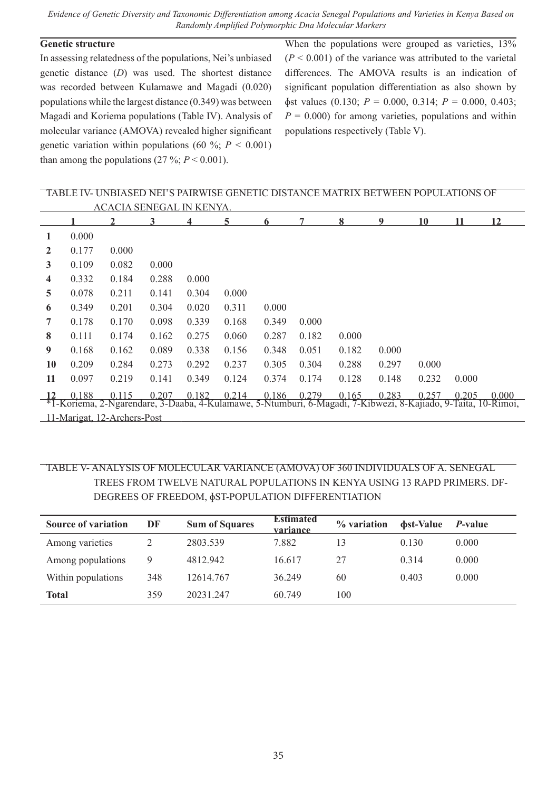# **Genetic structure**

In assessing relatedness of the populations, Nei's unbiased genetic distance (*D*) was used. The shortest distance was recorded between Kulamawe and Magadi (0.020) populations while the largest distance (0.349) was between Magadi and Koriema populations (Table IV). Analysis of molecular variance (AMOVA) revealed higher significant genetic variation within populations (60 %;  $P < 0.001$ ) than among the populations  $(27 \frac{9}{6}; P \le 0.001)$ .

When the populations were grouped as varieties,  $13\%$  $(P < 0.001)$  of the variance was attributed to the varietal differences. The AMOVA results is an indication of significant population differentiation as also shown by  $\phi$ st values (0.130; *P* = 0.000, 0.314; *P* = 0.000, 0.403;  $P = 0.000$ ) for among varieties, populations and within populations respectively (Table V).

# TABLE IV- UNBIASED NEI'S PAIRWISE GENETIC DISTANCE MATRIX BETWEEN POPULATIONS OF ACACIA SENEGAL IN KENYA. **1 2 3 4 5 6 7 8 9 10 11 12 1** 0.000 **2** 0.177 0.000 **3** 0.109 0.082 0.000 **4** 0.332 0.184 0.288 0.000 **5** 0.078 0.211 0.141 0.304 0.000 **6** 0.349 0.201 0.304 0.020 0.311 0.000 **7** 0.178 0.170 0.098 0.339 0.168 0.349 0.000 **8** 0.111 0.174 0.162 0.275 0.060 0.287 0.182 0.000 **9** 0.168 0.162 0.089 0.338 0.156 0.348 0.051 0.182 0.000 **10** 0.209 0.284 0.273 0.292 0.237 0.305 0.304 0.288 0.297 0.000 **11** 0.097 0.219 0.141 0.349 0.124 0.374 0.174 0.128 0.148 0.232 0.000 **12** 0.188 0.115 0.207 0.182 0.214 0.186 0.279 0.165 0.283 0.257 0.205 0.000 \*1-Koriema, 2-Ngarendare, 3-Daaba, 4-Kulamawe, 5-Ntumburi, 6-Magadi, 7-Kibwezi, 8-Kajiado, 9-Taita, 10-Rimoi, 11-Marigat, 12-Archers-Post

# TABLE V- ANALYSIS OF MOLECULAR VARIANCE (AMOVA) OF 360 INDIVIDUALS OF A. SENEGAL TREES FROM TWELVE NATURAL POPULATIONS IN KENYA USING 13 RAPD PRIMERS. DF-DEGREES OF FREEDOM, ɸST-POPULATION DIFFERENTIATION

| <b>Source of variation</b> | DF  | <b>Sum of Squares</b> | <b>Estimated</b><br>variance | % variation | <b>bst-Value</b> | <i>P</i> -value |
|----------------------------|-----|-----------------------|------------------------------|-------------|------------------|-----------------|
| Among varieties            |     | 2803.539              | 7.882                        | 13          | 0.130            | 0.000           |
| Among populations          | 9   | 4812.942              | 16.617                       | 27          | 0.314            | 0.000           |
| Within populations         | 348 | 12614.767             | 36.249                       | 60          | 0.403            | 0.000           |
| Total                      | 359 | 20231 247             | 60.749                       | 100         |                  |                 |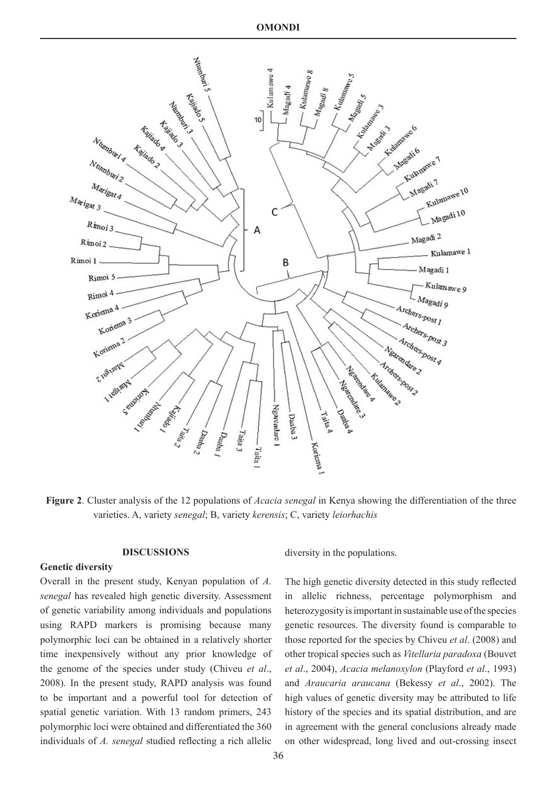

**Figure 2**. Cluster analysis of the 12 populations of *Acacia senegal* in Kenya showing the differentiation of the three varieties. A, variety *senegal*; B, variety *kerensis*; C, variety *leiorhachis*

# **DISCUSSIONS**

#### **Genetic diversity**

Overall in the present study, Kenyan population of *A. senegal* has revealed high genetic diversity. Assessment of genetic variability among individuals and populations using RAPD markers is promising because many polymorphic loci can be obtained in a relatively shorter time inexpensively without any prior knowledge of the genome of the species under study (Chiveu *et al*., 2008). In the present study, RAPD analysis was found to be important and a powerful tool for detection of spatial genetic variation. With 13 random primers, 243 polymorphic loci were obtained and differentiated the 360 individuals of *A. senegal* studied reflecting a rich allelic

diversity in the populations.

The high genetic diversity detected in this study reflected in allelic richness, percentage polymorphism and heterozygosity is important in sustainable use of the species genetic resources. The diversity found is comparable to those reported for the species by Chiveu *et al*. (2008) and other tropical species such as *Vitellaria paradoxa* (Bouvet *et al*., 2004), *Acacia melanoxylon* (Playford *et al*., 1993) and *Araucaria araucana* (Bekessy *et al*., 2002). The high values of genetic diversity may be attributed to life history of the species and its spatial distribution, and are in agreement with the general conclusions already made on other widespread, long lived and out-crossing insect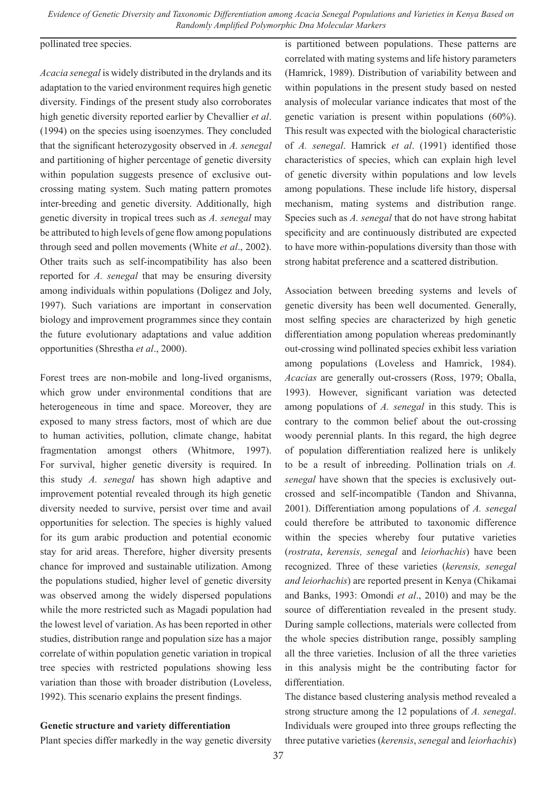#### pollinated tree species.

*Acacia senegal* is widely distributed in the drylands and its adaptation to the varied environment requires high genetic diversity. Findings of the present study also corroborates high genetic diversity reported earlier by Chevallier *et al*. (1994) on the species using isoenzymes. They concluded that the significant heterozygosity observed in *A. senegal* and partitioning of higher percentage of genetic diversity within population suggests presence of exclusive outcrossing mating system. Such mating pattern promotes inter-breeding and genetic diversity. Additionally, high genetic diversity in tropical trees such as *A. senegal* may be attributed to high levels of gene flow among populations through seed and pollen movements (White *et al*., 2002). Other traits such as self-incompatibility has also been reported for *A. senegal* that may be ensuring diversity among individuals within populations (Doligez and Joly, 1997). Such variations are important in conservation biology and improvement programmes since they contain the future evolutionary adaptations and value addition opportunities (Shrestha *et al*., 2000).

Forest trees are non-mobile and long-lived organisms, which grow under environmental conditions that are heterogeneous in time and space. Moreover, they are exposed to many stress factors, most of which are due to human activities, pollution, climate change, habitat fragmentation amongst others (Whitmore, 1997). For survival, higher genetic diversity is required. In this study *A. senegal* has shown high adaptive and improvement potential revealed through its high genetic diversity needed to survive, persist over time and avail opportunities for selection. The species is highly valued for its gum arabic production and potential economic stay for arid areas. Therefore, higher diversity presents chance for improved and sustainable utilization. Among the populations studied, higher level of genetic diversity was observed among the widely dispersed populations while the more restricted such as Magadi population had the lowest level of variation. As has been reported in other studies, distribution range and population size has a major correlate of within population genetic variation in tropical tree species with restricted populations showing less variation than those with broader distribution (Loveless, 1992). This scenario explains the present findings.

# **Genetic structure and variety differentiation**

Plant species differ markedly in the way genetic diversity

is partitioned between populations. These patterns are correlated with mating systems and life history parameters (Hamrick, 1989). Distribution of variability between and within populations in the present study based on nested analysis of molecular variance indicates that most of the genetic variation is present within populations (60%). This result was expected with the biological characteristic of *A. senegal*. Hamrick *et al*. (1991) identified those characteristics of species, which can explain high level of genetic diversity within populations and low levels among populations. These include life history, dispersal mechanism, mating systems and distribution range. Species such as *A. senegal* that do not have strong habitat specificity and are continuously distributed are expected to have more within-populations diversity than those with strong habitat preference and a scattered distribution.

Association between breeding systems and levels of genetic diversity has been well documented. Generally, most selfing species are characterized by high genetic differentiation among population whereas predominantly out-crossing wind pollinated species exhibit less variation among populations (Loveless and Hamrick, 1984). *Acacias* are generally out-crossers (Ross, 1979; Oballa, 1993). However, significant variation was detected among populations of *A. senegal* in this study. This is contrary to the common belief about the out-crossing woody perennial plants. In this regard, the high degree of population differentiation realized here is unlikely to be a result of inbreeding. Pollination trials on *A. senegal* have shown that the species is exclusively outcrossed and self-incompatible (Tandon and Shivanna, 2001). Differentiation among populations of *A. senegal* could therefore be attributed to taxonomic difference within the species whereby four putative varieties (*rostrata*, *kerensis, senegal* and *leiorhachis*) have been recognized. Three of these varieties (*kerensis, senegal and leiorhachis*) are reported present in Kenya (Chikamai and Banks, 1993: Omondi *et al*., 2010) and may be the source of differentiation revealed in the present study. During sample collections, materials were collected from the whole species distribution range, possibly sampling all the three varieties. Inclusion of all the three varieties in this analysis might be the contributing factor for differentiation.

The distance based clustering analysis method revealed a strong structure among the 12 populations of *A. senegal*. Individuals were grouped into three groups reflecting the three putative varieties (*kerensis*, *senegal* and *leiorhachis*)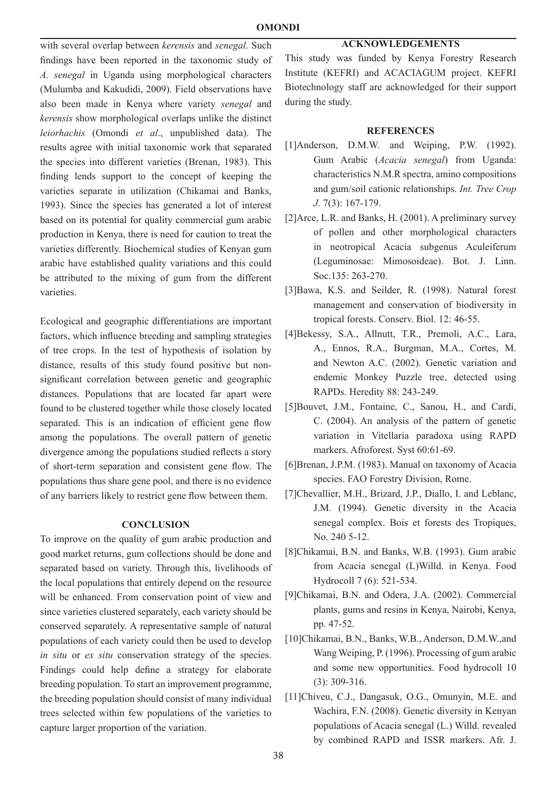# **ACKNOWLEDGEMENTS**

with several overlap between *kerensis* and *senegal*. Such findings have been reported in the taxonomic study of *A. senegal* in Uganda using morphological characters (Mulumba and Kakudidi, 2009). Field observations have also been made in Kenya where variety *senegal* and *kerensis* show morphological overlaps unlike the distinct *leiorhachis* (Omondi *et al*., unpublished data). The results agree with initial taxonomic work that separated the species into different varieties (Brenan, 1983). This finding lends support to the concept of keeping the varieties separate in utilization (Chikamai and Banks, 1993). Since the species has generated a lot of interest based on its potential for quality commercial gum arabic production in Kenya, there is need for caution to treat the varieties differently. Biochemical studies of Kenyan gum arabic have established quality variations and this could be attributed to the mixing of gum from the different varieties.

Ecological and geographic differentiations are important factors, which influence breeding and sampling strategies of tree crops. In the test of hypothesis of isolation by distance, results of this study found positive but nonsignificant correlation between genetic and geographic distances. Populations that are located far apart were found to be clustered together while those closely located separated. This is an indication of efficient gene flow among the populations. The overall pattern of genetic divergence among the populations studied reflects a story of short-term separation and consistent gene flow. The populations thus share gene pool, and there is no evidence of any barriers likely to restrict gene flow between them.

#### **CONCLUSION**

To improve on the quality of gum arabic production and good market returns, gum collections should be done and separated based on variety. Through this, livelihoods of the local populations that entirely depend on the resource will be enhanced. From conservation point of view and since varieties clustered separately, each variety should be conserved separately. A representative sample of natural populations of each variety could then be used to develop *in situ* or *ex situ* conservation strategy of the species. Findings could help define a strategy for elaborate breeding population. To start an improvement programme, the breeding population should consist of many individual trees selected within few populations of the varieties to capture larger proportion of the variation.

This study was funded by Kenya Forestry Research Institute (KEFRI) and ACACIAGUM project. KEFRI Biotechnology staff are acknowledged for their support during the study.

#### **REFERENCES**

- [1]Anderson, D.M.W. and Weiping, P.W. (1992). Gum Arabic (*Acacia senegal*) from Uganda: characteristics N.M.R spectra, amino compositions and gum/soil cationic relationships. *Int. Tree Crop J.* 7(3): 167-179.
- [2]Arce, L.R. and Banks, H. (2001). A preliminary survey of pollen and other morphological characters in neotropical Acacia subgenus Aculeiferum (Leguminosae: Mimosoideae). Bot. J. Linn. Soc.135: 263-270.
- [3]Bawa, K.S. and Seilder, R. (1998). Natural forest management and conservation of biodiversity in tropical forests. Conserv. Biol. 12: 46-55.
- [4]Bekessy, S.A., Allnutt, T.R., Premoli, A.C., Lara, A., Ennos, R.A., Burgman, M.A., Cortes, M. and Newton A.C. (2002). Genetic variation and endemic Monkey Puzzle tree, detected using RAPDs. Heredity 88: 243-249.
- [5]Bouvet, J.M., Fontaine, C., Sanou, H., and Cardi, C. (2004). An analysis of the pattern of genetic variation in Vitellaria paradoxa using RAPD markers. Afroforest. Syst 60:61-69.
- [6]Brenan, J.P.M. (1983). Manual on taxonomy of Acacia species. FAO Forestry Division, Rome.
- [7]Chevallier, M.H., Brizard, J.P., Diallo, I. and Leblanc, J.M. (1994). Genetic diversity in the Acacia senegal complex. Bois et forests des Tropiques, No. 240 5-12.
- [8]Chikamai, B.N. and Banks, W.B. (1993). Gum arabic from Acacia senegal (L)Willd. in Kenya. Food Hydrocoll 7 (6): 521-534.
- [9]Chikamai, B.N. and Odera, J.A. (2002). Commercial plants, gums and resins in Kenya, Nairobi, Kenya, pp. 47-52.
- [10]Chikamai, B.N., Banks, W.B., Anderson, D.M.W.,and Wang Weiping, P. (1996). Processing of gum arabic and some new opportunities. Food hydrocoll 10 (3): 309-316.
- [11]Chiveu, C.J., Dangasuk, O.G., Omunyin, M.E. and Wachira, F.N. (2008). Genetic diversity in Kenyan populations of Acacia senegal (L.) Willd. revealed by combined RAPD and ISSR markers. Afr. J.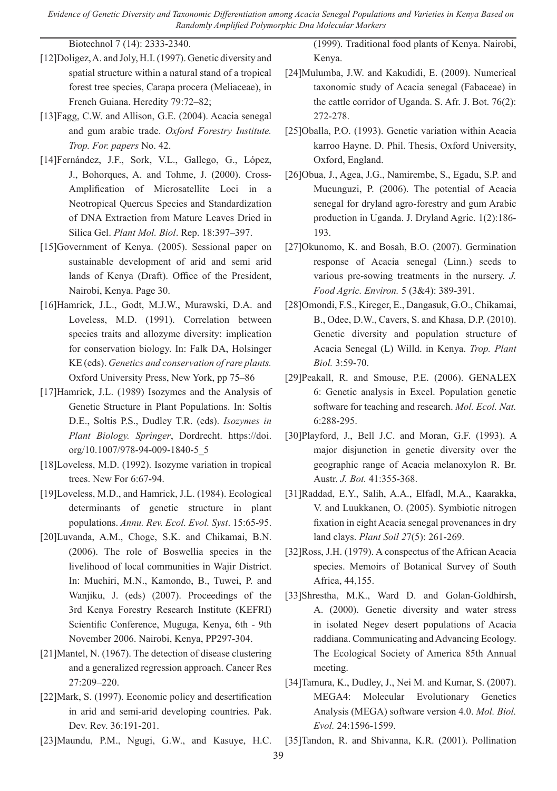Biotechnol 7 (14): 2333-2340.

- [12]Doligez, A. and Joly, H.I. (1997). Genetic diversity and spatial structure within a natural stand of a tropical forest tree species, Carapa procera (Meliaceae), in French Guiana. Heredity 79:72–82;
- [13]Fagg, C.W. and Allison, G.E. (2004). Acacia senegal and gum arabic trade. *Oxford Forestry Institute. Trop. For. papers* No. 42.
- [14]Fernández, J.F., Sork, V.L., Gallego, G., López, J., Bohorques, A. and Tohme, J. (2000). Cross-Amplification of Microsatellite Loci in a Neotropical Quercus Species and Standardization of DNA Extraction from Mature Leaves Dried in Silica Gel. *Plant Mol. Biol*. Rep. 18:397–397.
- [15]Government of Kenya. (2005). Sessional paper on sustainable development of arid and semi arid lands of Kenya (Draft). Office of the President, Nairobi, Kenya. Page 30.
- [16]Hamrick, J.L., Godt, M.J.W., Murawski, D.A. and Loveless, M.D. (1991). Correlation between species traits and allozyme diversity: implication for conservation biology. In: Falk DA, Holsinger KE (eds). *Genetics and conservation of rare plants.* Oxford University Press, New York, pp 75–86
- [17]Hamrick, J.L. (1989) Isozymes and the Analysis of Genetic Structure in Plant Populations. In: Soltis D.E., Soltis P.S., Dudley T.R. (eds). *Isozymes in Plant Biology. Springer*, Dordrecht. https://doi. org/10.1007/978-94-009-1840-5\_5
- [18]Loveless, M.D. (1992). Isozyme variation in tropical trees. New For 6:67-94.
- [19]Loveless, M.D., and Hamrick, J.L. (1984). Ecological determinants of genetic structure in plant populations. *Annu. Rev. Ecol. Evol. Syst*. 15:65-95.
- [20]Luvanda, A.M., Choge, S.K. and Chikamai, B.N. (2006). The role of Boswellia species in the livelihood of local communities in Wajir District. In: Muchiri, M.N., Kamondo, B., Tuwei, P. and Wanjiku, J. (eds) (2007). Proceedings of the 3rd Kenya Forestry Research Institute (KEFRI) Scientific Conference, Muguga, Kenya, 6th - 9th November 2006. Nairobi, Kenya, PP297-304.
- [21]Mantel, N. (1967). The detection of disease clustering and a generalized regression approach. Cancer Res 27:209–220.
- [22]Mark, S. (1997). Economic policy and desertification in arid and semi-arid developing countries. Pak. Dev. Rev. 36:191-201.

(1999). Traditional food plants of Kenya. Nairobi, Kenya.

- [24]Mulumba, J.W. and Kakudidi, E. (2009). Numerical taxonomic study of Acacia senegal (Fabaceae) in the cattle corridor of Uganda. S. Afr. J. Bot. 76(2): 272-278.
- [25]Oballa, P.O. (1993). Genetic variation within Acacia karroo Hayne. D. Phil. Thesis, Oxford University, Oxford, England.
- [26]Obua, J., Agea, J.G., Namirembe, S., Egadu, S.P. and Mucunguzi, P. (2006). The potential of Acacia senegal for dryland agro-forestry and gum Arabic production in Uganda. J. Dryland Agric. 1(2):186- 193.
- [27]Okunomo, K. and Bosah, B.O. (2007). Germination response of Acacia senegal (Linn.) seeds to various pre-sowing treatments in the nursery. *J. Food Agric. Environ.* 5 (3&4): 389-391.
- [28]Omondi, F.S., Kireger, E., Dangasuk, G.O., Chikamai, B., Odee, D.W., Cavers, S. and Khasa, D.P. (2010). Genetic diversity and population structure of Acacia Senegal (L) Willd. in Kenya. *Trop. Plant Biol.* 3:59-70.
- [29]Peakall, R. and Smouse, P.E. (2006). GENALEX 6: Genetic analysis in Excel. Population genetic software for teaching and research. *Mol. Ecol. Nat.*  6:288-295.
- [30]Playford, J., Bell J.C. and Moran, G.F. (1993). A major disjunction in genetic diversity over the geographic range of Acacia melanoxylon R. Br. Austr. *J. Bot.* 41:355-368.
- [31]Raddad, E.Y., Salih, A.A., Elfadl, M.A., Kaarakka, V. and Luukkanen, O. (2005). Symbiotic nitrogen fixation in eight Acacia senegal provenances in dry land clays. *Plant Soil 2*7(5): 261-269.
- [32]Ross, J.H. (1979). A conspectus of the African Acacia species. Memoirs of Botanical Survey of South Africa, 44,155.
- [33]Shrestha, M.K., Ward D. and Golan-Goldhirsh, A. (2000). Genetic diversity and water stress in isolated Negev desert populations of Acacia raddiana. Communicating and Advancing Ecology. The Ecological Society of America 85th Annual meeting.
- [34]Tamura, K., Dudley, J., Nei M. and Kumar, S. (2007). MEGA4: Molecular Evolutionary Genetics Analysis (MEGA) software version 4.0. *Mol. Biol. Evol.* 24:1596-1599.
- [23]Maundu, P.M., Ngugi, G.W., and Kasuye, H.C. [35]Tandon, R. and Shivanna, K.R. (2001). Pollination